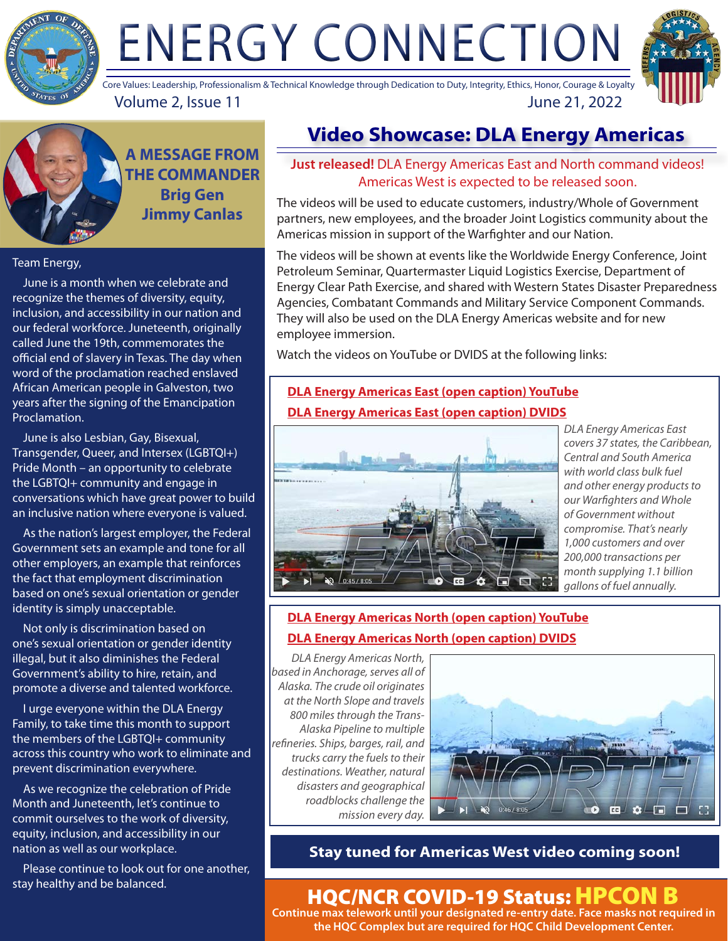

# ENERGY CONNECTION



Volume 2, Issue 11 June 21, 2022 Core Values: Leadership, Professionalism & Technical Knowledge through Dedication to Duty, Integrity, Ethics, Honor, Courage & Loyalty

**A MESSAGE FROM THE COMMANDER Brig Gen Jimmy Canlas**

#### Team Energy,

 June is a month when we celebrate and recognize the themes of diversity, equity, inclusion, and accessibility in our nation and our federal workforce. Juneteenth, originally called June the 19th, commemorates the official end of slavery in Texas. The day when word of the proclamation reached enslaved African American people in Galveston, two years after the signing of the Emancipation Proclamation.

 June is also Lesbian, Gay, Bisexual, Transgender, Queer, and Intersex (LGBTQI+) Pride Month – an opportunity to celebrate the LGBTQI+ community and engage in conversations which have great power to build an inclusive nation where everyone is valued.

 As the nation's largest employer, the Federal Government sets an example and tone for all other employers, an example that reinforces the fact that employment discrimination based on one's sexual orientation or gender identity is simply unacceptable.

 Not only is discrimination based on one's sexual orientation or gender identity illegal, but it also diminishes the Federal Government's ability to hire, retain, and promote a diverse and talented workforce.

 I urge everyone within the DLA Energy Family, to take time this month to support the members of the LGBTQI+ community across this country who work to eliminate and prevent discrimination everywhere.

 As we recognize the celebration of Pride Month and Juneteenth, let's continue to commit ourselves to the work of diversity, equity, inclusion, and accessibility in our nation as well as our workplace.

 Please continue to look out for one another, stay healthy and be balanced.

# **Video Showcase: DLA Energy Americas**

**Just released!** DLA Energy Americas East and North command videos! Americas West is expected to be released soon.

The videos will be used to educate customers, industry/Whole of Government partners, new employees, and the broader Joint Logistics community about the Americas mission in support of the Warfighter and our Nation.

The videos will be shown at events like the Worldwide Energy Conference, Joint Petroleum Seminar, Quartermaster Liquid Logistics Exercise, Department of Energy Clear Path Exercise, and shared with Western States Disaster Preparedness Agencies, Combatant Commands and Military Service Component Commands. They will also be used on the DLA Energy Americas website and for new employee immersion.

Watch the videos on YouTube or DVIDS at the following links:

## **[DLA Energy Americas East \(open caption\) YouTube](https://youtu.be/-GvDtu4VMo8) [DLA Energy Americas East \(open caption\) DVIDS](https://www.dvidshub.net/video/846364/dla-energy-americas-east-open-caption)**



*DLA Energy Americas East covers 37 states, the Caribbean, Central and South America with world class bulk fuel and other energy products to our Warfighters and Whole of Government without compromise. That's nearly 1,000 customers and over 200,000 transactions per month supplying 1.1 billion gallons of fuel annually.*

#### **[DLA Energy Americas North \(open caption\) YouTube](https://youtu.be/yj_Tz-bFEpo) [DLA Energy Americas North \(open caption\) DVIDS](https://www.dvidshub.net/video/846366/dla-energy-americas-north-open-caption)**

*DLA Energy Americas North, based in Anchorage, serves all of Alaska. The crude oil originates at the North Slope and travels 800 miles through the Trans-Alaska Pipeline to multiple refineries. Ships, barges, rail, and trucks carry the fuels to their destinations. Weather, natural disasters and geographical roadblocks challenge the mission every day.*



### **Stay tuned for Americas West video coming soon!**

# HQC/NCR COVID-19 Status: HPCON B

**Continue max telework until your designated re-entry date. Face masks not required in the HQC Complex but are required for HQC Child Development Center.**